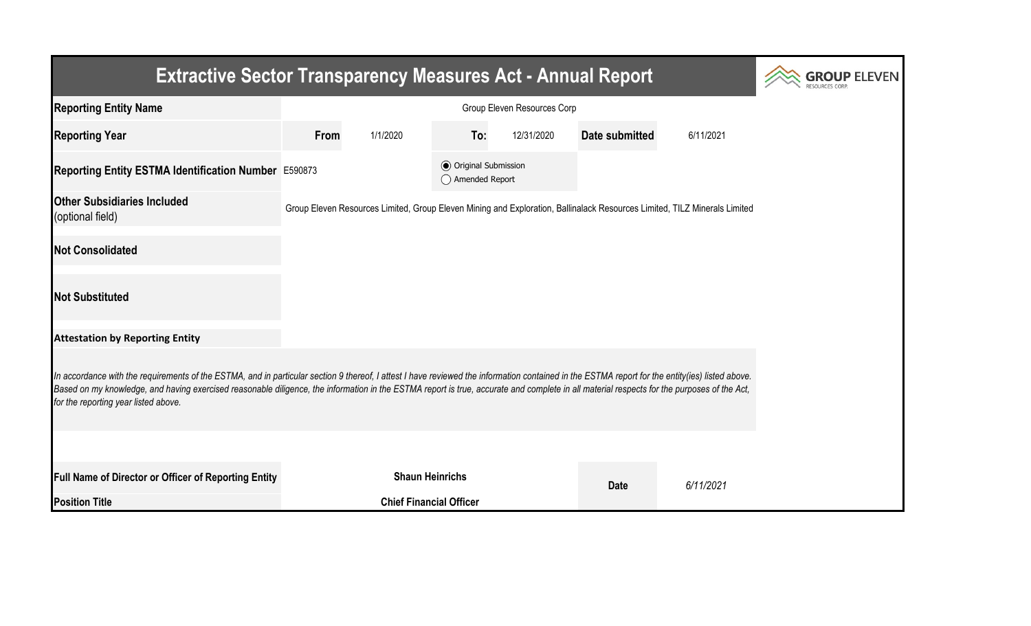| <b>Extractive Sector Transparency Measures Act - Annual Report</b>                                                                                                                                                                                                                                                                                                                                                                    | <b>ROUP ELEVEN</b> |                                |                                                  |            |                |                                                                                                                           |  |  |  |  |
|---------------------------------------------------------------------------------------------------------------------------------------------------------------------------------------------------------------------------------------------------------------------------------------------------------------------------------------------------------------------------------------------------------------------------------------|--------------------|--------------------------------|--------------------------------------------------|------------|----------------|---------------------------------------------------------------------------------------------------------------------------|--|--|--|--|
| <b>Reporting Entity Name</b>                                                                                                                                                                                                                                                                                                                                                                                                          |                    |                                |                                                  |            |                |                                                                                                                           |  |  |  |  |
| <b>Reporting Year</b>                                                                                                                                                                                                                                                                                                                                                                                                                 | From               | 1/1/2020                       | To:                                              | 12/31/2020 | Date submitted | 6/11/2021                                                                                                                 |  |  |  |  |
| Reporting Entity ESTMA Identification Number E590873                                                                                                                                                                                                                                                                                                                                                                                  |                    |                                | <b>◎</b> Original Submission<br>◯ Amended Report |            |                |                                                                                                                           |  |  |  |  |
| <b>Other Subsidiaries Included</b><br>(optional field)                                                                                                                                                                                                                                                                                                                                                                                |                    |                                |                                                  |            |                | Group Eleven Resources Limited, Group Eleven Mining and Exploration, Ballinalack Resources Limited, TILZ Minerals Limited |  |  |  |  |
| <b>Not Consolidated</b>                                                                                                                                                                                                                                                                                                                                                                                                               |                    |                                |                                                  |            |                |                                                                                                                           |  |  |  |  |
| <b>Not Substituted</b>                                                                                                                                                                                                                                                                                                                                                                                                                |                    |                                |                                                  |            |                |                                                                                                                           |  |  |  |  |
| <b>Attestation by Reporting Entity</b>                                                                                                                                                                                                                                                                                                                                                                                                |                    |                                |                                                  |            |                |                                                                                                                           |  |  |  |  |
| In accordance with the requirements of the ESTMA, and in particular section 9 thereof, I attest I have reviewed the information contained in the ESTMA report for the entity(ies) listed above.<br>Based on my knowledge, and having exercised reasonable diligence, the information in the ESTMA report is true, accurate and complete in all material respects for the purposes of the Act,<br>for the reporting year listed above. |                    |                                |                                                  |            |                |                                                                                                                           |  |  |  |  |
|                                                                                                                                                                                                                                                                                                                                                                                                                                       |                    |                                |                                                  |            |                |                                                                                                                           |  |  |  |  |
| Full Name of Director or Officer of Reporting Entity                                                                                                                                                                                                                                                                                                                                                                                  |                    | <b>Shaun Heinrichs</b>         |                                                  |            | <b>Date</b>    | 6/11/2021                                                                                                                 |  |  |  |  |
| <b>Position Title</b>                                                                                                                                                                                                                                                                                                                                                                                                                 |                    | <b>Chief Financial Officer</b> |                                                  |            |                |                                                                                                                           |  |  |  |  |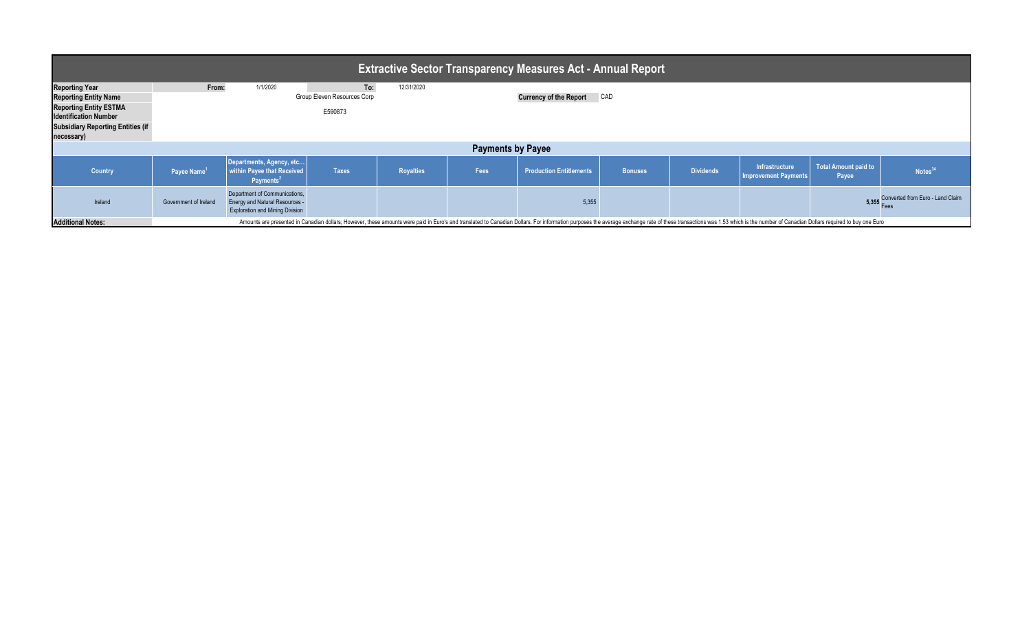| ∣ Extractive Sector Transparency Measures Act - Annual Report <sup>∣</sup> |                                                                                                                                                                                                                                |                                                                                                                  |              |                  |      |                                |                |                  |                                                      |                               |                                        |  |
|----------------------------------------------------------------------------|--------------------------------------------------------------------------------------------------------------------------------------------------------------------------------------------------------------------------------|------------------------------------------------------------------------------------------------------------------|--------------|------------------|------|--------------------------------|----------------|------------------|------------------------------------------------------|-------------------------------|----------------------------------------|--|
| <b>Reporting Year</b>                                                      | From:                                                                                                                                                                                                                          | 1/1/2020                                                                                                         | To:          | 12/31/2020       |      |                                |                |                  |                                                      |                               |                                        |  |
| <b>Reporting Entity Name</b>                                               |                                                                                                                                                                                                                                | <b>Group Eleven Resources Corp</b>                                                                               |              |                  |      | <b>Currency of the Report</b>  | CAD            |                  |                                                      |                               |                                        |  |
| <b>Reporting Entity ESTMA</b><br><b>Identification Number</b>              |                                                                                                                                                                                                                                |                                                                                                                  | E590873      |                  |      |                                |                |                  |                                                      |                               |                                        |  |
| <b>Subsidiary Reporting Entities (if</b><br>necessary)                     |                                                                                                                                                                                                                                |                                                                                                                  |              |                  |      |                                |                |                  |                                                      |                               |                                        |  |
| <b>Payments by Payee</b>                                                   |                                                                                                                                                                                                                                |                                                                                                                  |              |                  |      |                                |                |                  |                                                      |                               |                                        |  |
| <b>Country</b>                                                             | Payee Name <sup>1</sup>                                                                                                                                                                                                        | Departments, Agency, etc<br>within Payee that Received<br>Payments <sup>2</sup>                                  | <b>Taxes</b> | <b>Royalties</b> | Fees | <b>Production Entitlements</b> | <b>Bonuses</b> | <b>Dividends</b> | <b>Infrastructure</b><br><b>Improvement Payments</b> | Total Amount paid to<br>Payee | Notes $3$                              |  |
| Ireland                                                                    | Government of Ireland                                                                                                                                                                                                          | Department of Communications,<br><b>Energy and Natural Resources -</b><br><b>Exploration and Mining Division</b> |              |                  |      | 5,355                          |                |                  |                                                      |                               | 5,355 Converted from Euro - Land Claim |  |
| <b>Additional Notes:</b>                                                   | Amounts are presented in Canadian dollars; However, these amounts were paid in Euro's and translated to Canadian Dollars. For information purposes the average exchange rate of these transactions was 1.53 which is the numbe |                                                                                                                  |              |                  |      |                                |                |                  |                                                      |                               |                                        |  |